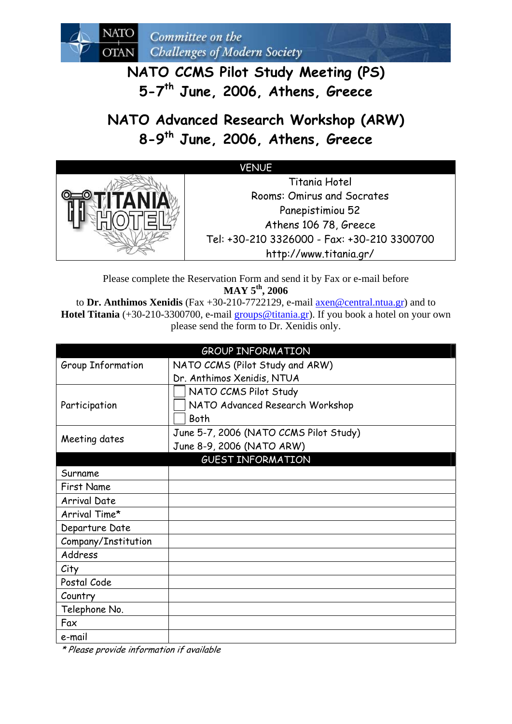**NATO CCMS Pilot Study Meeting (PS) 5-7th June, 2006, Athens, Greece** 

**NATO Advanced Research Workshop (ARW) 8-9th June, 2006, Athens, Greece** 

## VENUE



Please complete the Reservation Form and send it by Fax or e-mail before **MAY 5th, 2006**

to **Dr. Anthimos Xenidis** (Fax +30-210-7722129, e-mail [axen@central.ntua.gr](mailto:axen@central.ntua.gr)) and to **Hotel Titania** (+30-210-3300700, e-mail [groups@titania.gr](mailto:groups@titania.gr)). If you book a hotel on your own please send the form to Dr. Xenidis only.

| <b>GROUP INFORMATION</b> |                                        |  |  |
|--------------------------|----------------------------------------|--|--|
| Group Information        | NATO CCMS (Pilot Study and ARW)        |  |  |
|                          | Dr. Anthimos Xenidis, NTUA             |  |  |
|                          | NATO CCMS Pilot Study                  |  |  |
| Participation            | NATO Advanced Research Workshop        |  |  |
|                          | Both                                   |  |  |
| Meeting dates            | June 5-7, 2006 (NATO CCMS Pilot Study) |  |  |
|                          | June 8-9, 2006 (NATO ARW)              |  |  |
| <b>GUEST INFORMATION</b> |                                        |  |  |
| Surname                  |                                        |  |  |
| <b>First Name</b>        |                                        |  |  |
| <b>Arrival Date</b>      |                                        |  |  |
| Arrival Time*            |                                        |  |  |
| Departure Date           |                                        |  |  |
| Company/Institution      |                                        |  |  |
| Address                  |                                        |  |  |
| City                     |                                        |  |  |
| Postal Code              |                                        |  |  |
| Country                  |                                        |  |  |
| Telephone No.            |                                        |  |  |
| Fax                      |                                        |  |  |
| e-mail                   |                                        |  |  |

\* Please provide information if available